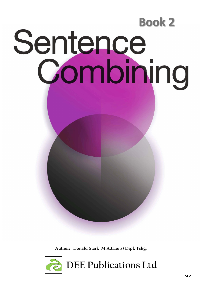

**Author: Donald Stark M.A.(Hons) Dipl. Tchg.**

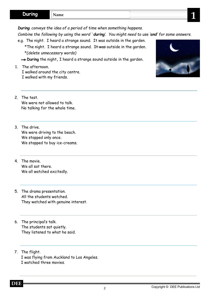**During**

*During conveys the idea of a period of time when something happens.* 

*Combine the following by using the word ' during'. You might need to use 'and' for some answers.* 

2

- e.g. The night. I heard a strange sound. It was outside in the garden.
	- \*The night. I heard a strange sound. It was outside in the garden. \**(delete unnecessary words)*
	- → **During** the night, I heard a strange sound outside in the garden.
- 1. The afternoon. I walked around the city centre. I walked with my friends.
- 2. The test. We were not allowed to talk. No talking for the whole time.
- 3. The drive. We were driving to the beach. We stopped only once. We stopped to buy ice-creams.
- 4. The movie. We all sat there. We all watched excitedly.
- 5. The drama presentation. All the students watched. They watched with genuine interest.
- 6. The principal's talk. The students sat quietly. They listened to what he said.
- 7. The flight. I was flying from Auckland to Los Angeles. I watched three movies.

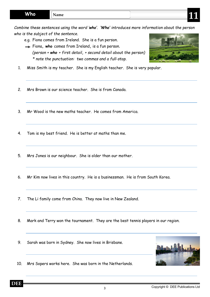*Combine these sentences using the word 'who'. 'Who' introduces more information about the person who is the subject of the sentence.* 

- e.g. Fiona comes from Ireland. She is a fun person.
- Fiona**, who** comes from Ireland**,** is a fun person. *(person + who + first detail, + second detail about the person) \* note the punctuation: two commas and a full-stop.*



- 1. Miss Smith is my teacher. She is my English teacher. She is very popular.
- 2. Mrs Brown is our science teacher. She is from Canada.
- 3. Mr Wood is the new maths teacher. He comes from America.
- 4. Tom is my best friend. He is better at maths than me.
- 5. Mrs Jones is our neighbour. She is older than our mother.
- 6. Mr Kim now lives in this country. He is a businessman. He is from South Korea.
- 7. The Li family come from China. They now live in New Zealand.
- 8. Mark and Terry won the tournament. They are the best tennis players in our region.
- 9. Sarah was born in Sydney. She now lives in Brisbane.



10. Mrs Sopers works here. She was born in the Netherlands.